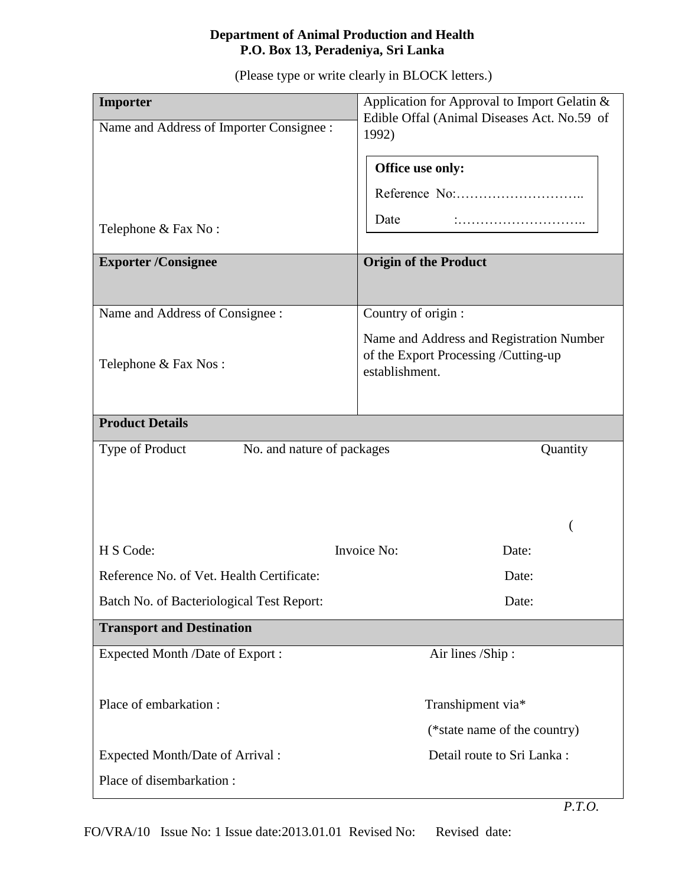## **Department of Animal Production and Health P.O. Box 13, Peradeniya, Sri Lanka**

(Please type or write clearly in BLOCK letters.)

| Importer                                      | Application for Approval to Import Gelatin &                                                       |
|-----------------------------------------------|----------------------------------------------------------------------------------------------------|
| Name and Address of Importer Consignee :      | Edible Offal (Animal Diseases Act. No.59 of<br>1992)                                               |
|                                               |                                                                                                    |
|                                               | Office use only:                                                                                   |
|                                               |                                                                                                    |
| Telephone & Fax No:                           | Date                                                                                               |
| <b>Exporter/Consignee</b>                     | <b>Origin of the Product</b>                                                                       |
|                                               |                                                                                                    |
| Name and Address of Consignee :               | Country of origin :                                                                                |
| Telephone & Fax Nos:                          | Name and Address and Registration Number<br>of the Export Processing /Cutting-up<br>establishment. |
|                                               |                                                                                                    |
| <b>Product Details</b>                        |                                                                                                    |
| Type of Product<br>No. and nature of packages | Quantity                                                                                           |
|                                               |                                                                                                    |
|                                               |                                                                                                    |
|                                               |                                                                                                    |
| H S Code:                                     | Invoice No:<br>Date:                                                                               |
| Reference No. of Vet. Health Certificate:     | Date:                                                                                              |
| Batch No. of Bacteriological Test Report:     | Date:                                                                                              |
| <b>Transport and Destination</b>              |                                                                                                    |
| Expected Month /Date of Export :              | Air lines /Ship:                                                                                   |
|                                               |                                                                                                    |
| Place of embarkation:                         | Transhipment via*                                                                                  |
|                                               | (*state name of the country)                                                                       |
| Expected Month/Date of Arrival:               | Detail route to Sri Lanka:                                                                         |
| Place of disembarkation:                      |                                                                                                    |

FO/VRA/10 Issue No: 1 Issue date:2013.01.01 Revised No: Revised date: